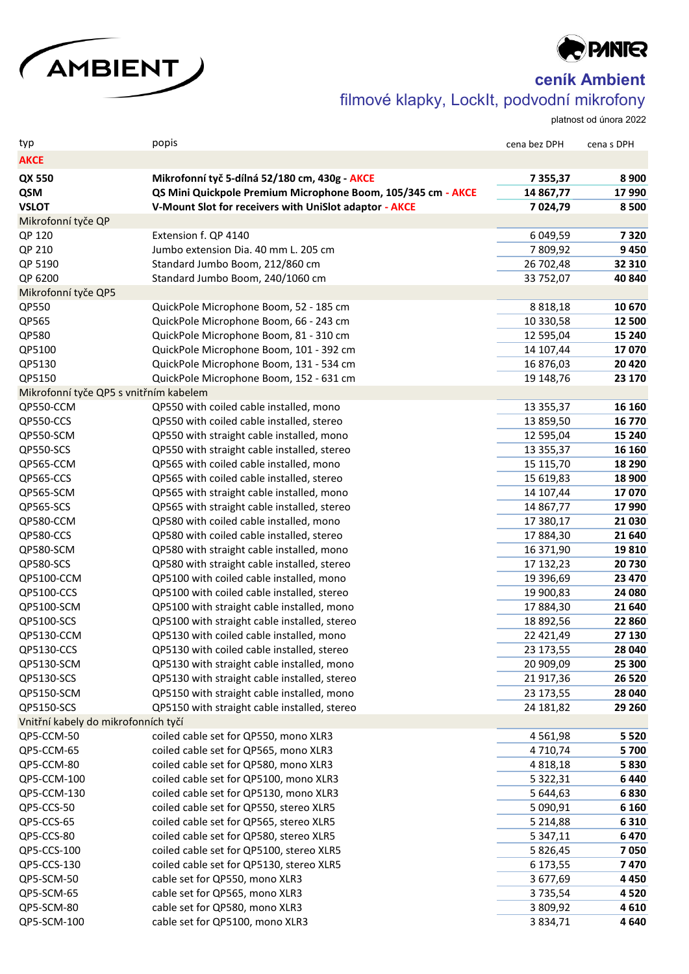



**ceník Ambient**

filmové klapky, LockIt, podvodní mikrofony

platnost od února 2022

| typ                                    | popis                                                            | cena bez DPH        | cena s DPH      |
|----------------------------------------|------------------------------------------------------------------|---------------------|-----------------|
| <b>AKCE</b>                            |                                                                  |                     |                 |
| QX 550                                 | Mikrofonní tyč 5-dílná 52/180 cm, 430g - AKCE                    | 7 3 5 5 , 3 7       | 8 9 0 0         |
| QSM                                    | QS Mini Quickpole Premium Microphone Boom, 105/345 cm - AKCE     | 14 867,77           | 17 990          |
| <b>VSLOT</b>                           | V-Mount Slot for receivers with UniSlot adaptor - AKCE           | 7 024,79            | 8 5 0 0         |
| Mikrofonní tyče QP                     |                                                                  |                     |                 |
| QP 120                                 | Extension f. QP 4140                                             | 6 049,59            | 7320            |
| QP 210                                 | Jumbo extension Dia. 40 mm L. 205 cm                             | 7809,92             | 9450            |
| QP 5190                                | Standard Jumbo Boom, 212/860 cm                                  | 26 702,48           | 32 310          |
| QP 6200                                | Standard Jumbo Boom, 240/1060 cm                                 | 33 752,07           | 40 840          |
| Mikrofonní tyče QP5                    |                                                                  |                     |                 |
| QP550                                  | QuickPole Microphone Boom, 52 - 185 cm                           | 8 8 18, 18          | 10 670          |
| QP565                                  | QuickPole Microphone Boom, 66 - 243 cm                           | 10 330,58           | 12 500          |
| QP580                                  | QuickPole Microphone Boom, 81 - 310 cm                           | 12 595,04           | 15 240          |
| QP5100                                 | QuickPole Microphone Boom, 101 - 392 cm                          | 14 107,44           | 17070           |
| QP5130                                 | QuickPole Microphone Boom, 131 - 534 cm                          | 16 876,03           | 20 4 20         |
| QP5150                                 | QuickPole Microphone Boom, 152 - 631 cm                          | 19 148,76           | 23 170          |
| Mikrofonní tyče QP5 s vnitřním kabelem |                                                                  |                     |                 |
| QP550-CCM                              | QP550 with coiled cable installed, mono                          | 13 355,37           | 16 160          |
| QP550-CCS                              | QP550 with coiled cable installed, stereo                        | 13 859,50           | 16 770          |
| QP550-SCM                              | QP550 with straight cable installed, mono                        | 12 595,04           | 15 240          |
| QP550-SCS                              | QP550 with straight cable installed, stereo                      | 13 3 5 5 , 3 7      | 16 160          |
| QP565-CCM                              | QP565 with coiled cable installed, mono                          | 15 115,70           | 18 290          |
| QP565-CCS                              | QP565 with coiled cable installed, stereo                        | 15 619,83           | 18 900          |
| QP565-SCM                              | QP565 with straight cable installed, mono                        | 14 107,44           | 17070           |
| QP565-SCS                              | QP565 with straight cable installed, stereo                      | 14 867,77           | 17 990          |
| QP580-CCM                              | QP580 with coiled cable installed, mono                          | 17 380,17           | 21 030          |
| QP580-CCS                              | QP580 with coiled cable installed, stereo                        | 17884,30            | 21 640          |
| QP580-SCM                              | QP580 with straight cable installed, mono                        | 16 371,90           | 19810           |
| QP580-SCS                              | QP580 with straight cable installed, stereo                      | 17 132,23           | 20730           |
| QP5100-CCM                             | QP5100 with coiled cable installed, mono                         | 19 396,69           | 23 470          |
| QP5100-CCS                             | QP5100 with coiled cable installed, stereo                       | 19 900,83           | 24 080          |
| QP5100-SCM                             | QP5100 with straight cable installed, mono                       | 17884,30            | 21 640          |
| QP5100-SCS                             | QP5100 with straight cable installed, stereo                     | 18 892,56           | 22 860          |
| QP5130-CCM                             | QP5130 with coiled cable installed, mono                         | 22 421,49           | 27 130          |
| QP5130-CCS                             | QP5130 with coiled cable installed, stereo                       | 23 173,55           | 28 040          |
| QP5130-SCM                             | QP5130 with straight cable installed, mono                       | 20 909,09           | 25 300          |
| QP5130-SCS                             | QP5130 with straight cable installed, stereo                     | 21 917,36           | 26 5 20         |
| QP5150-SCM                             | QP5150 with straight cable installed, mono                       | 23 173,55           | 28 040          |
| QP5150-SCS                             | QP5150 with straight cable installed, stereo                     | 24 181,82           | 29 260          |
| Vnitřní kabely do mikrofonních tyčí    |                                                                  |                     |                 |
| QP5-CCM-50                             | coiled cable set for QP550, mono XLR3                            | 4 5 6 1 , 9 8       | 5 5 2 0         |
| QP5-CCM-65                             | coiled cable set for QP565, mono XLR3                            | 4710,74             | 5 700           |
| QP5-CCM-80                             | coiled cable set for QP580, mono XLR3                            | 4 8 18, 18          | 5830            |
| QP5-CCM-100                            | coiled cable set for QP5100, mono XLR3                           | 5 3 2 2 , 3 1       | 6 4 4 0         |
| QP5-CCM-130                            | coiled cable set for QP5130, mono XLR3                           | 5 644,63            | 6830            |
| QP5-CCS-50                             | coiled cable set for QP550, stereo XLR5                          | 5 090,91            | 6 1 6 0         |
| QP5-CCS-65                             | coiled cable set for QP565, stereo XLR5                          | 5 2 1 4,88          | 6 3 1 0         |
| QP5-CCS-80                             | coiled cable set for QP580, stereo XLR5                          | 5 3 4 7, 1 1        | 6 4 7 0         |
| QP5-CCS-100                            | coiled cable set for QP5100, stereo XLR5                         | 5 826,45            | 7050            |
| QP5-CCS-130                            | coiled cable set for QP5130, stereo XLR5                         | 6 173,55            | 7470            |
| QP5-SCM-50<br>QP5-SCM-65               | cable set for QP550, mono XLR3<br>cable set for QP565, mono XLR3 | 3 677,69<br>3735,54 | 4 4 5 0<br>4520 |
| QP5-SCM-80                             | cable set for QP580, mono XLR3                                   | 3 809,92            | 4610            |
| QP5-SCM-100                            | cable set for QP5100, mono XLR3                                  | 3 8 3 4 , 7 1       | 4 6 4 0         |
|                                        |                                                                  |                     |                 |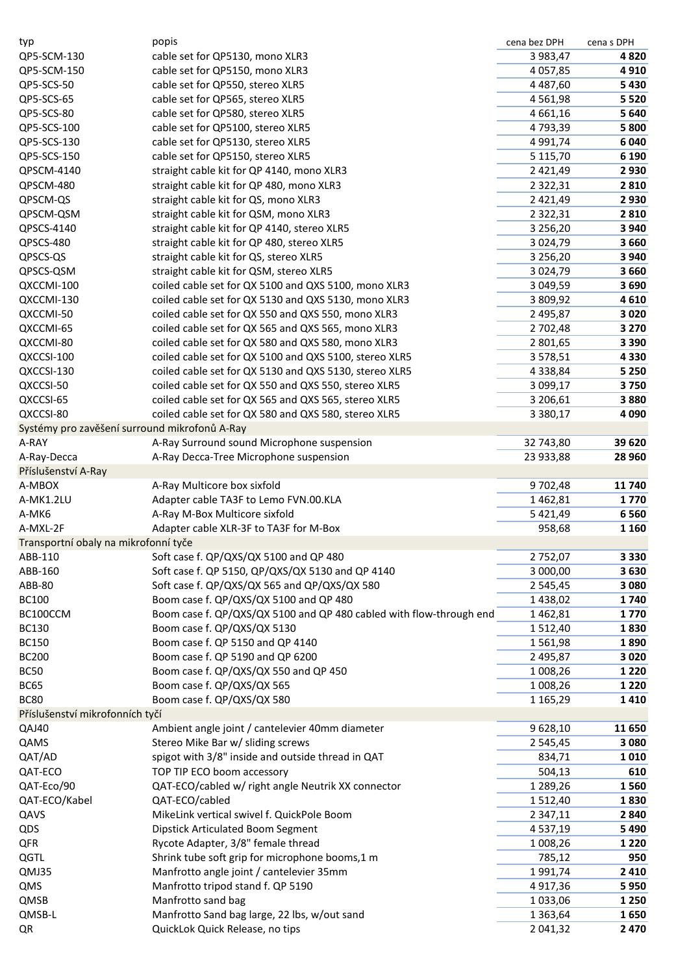| typ                                           | popis                                                               | cena bez DPH  | cena s DPH |
|-----------------------------------------------|---------------------------------------------------------------------|---------------|------------|
| QP5-SCM-130                                   | cable set for QP5130, mono XLR3                                     | 3 983,47      | 4820       |
| QP5-SCM-150                                   | cable set for QP5150, mono XLR3                                     | 4 0 57,85     | 4910       |
| QP5-SCS-50                                    | cable set for QP550, stereo XLR5                                    | 4 4 8 7,60    | 5 4 3 0    |
| QP5-SCS-65                                    | cable set for QP565, stereo XLR5                                    | 4 5 6 1 , 9 8 | 5 5 2 0    |
| QP5-SCS-80                                    | cable set for QP580, stereo XLR5                                    | 4 6 6 1 , 1 6 | 5 6 4 0    |
| QP5-SCS-100                                   | cable set for QP5100, stereo XLR5                                   | 4793,39       | 5 800      |
| QP5-SCS-130                                   | cable set for QP5130, stereo XLR5                                   | 4 9 9 1 , 7 4 | 6 0 4 0    |
| QP5-SCS-150                                   | cable set for QP5150, stereo XLR5                                   | 5 1 1 5 , 7 0 | 6 1 9 0    |
| QPSCM-4140                                    | straight cable kit for QP 4140, mono XLR3                           | 2 4 2 1 , 4 9 | 2930       |
| QPSCM-480                                     | straight cable kit for QP 480, mono XLR3                            | 2 3 2 2 , 3 1 | 2810       |
| QPSCM-QS                                      | straight cable kit for QS, mono XLR3                                | 2 4 2 1 , 4 9 | 2 9 3 0    |
| QPSCM-QSM                                     | straight cable kit for QSM, mono XLR3                               | 2 3 2 2 , 3 1 | 2 8 1 0    |
| QPSCS-4140                                    | straight cable kit for QP 4140, stereo XLR5                         | 3 2 5 6 , 2 0 | 3 9 4 0    |
| QPSCS-480                                     | straight cable kit for QP 480, stereo XLR5                          | 3 0 24, 79    | 3 6 6 0    |
| QPSCS-QS                                      | straight cable kit for QS, stereo XLR5                              | 3 2 5 6 , 2 0 | 3 9 4 0    |
| QPSCS-QSM                                     | straight cable kit for QSM, stereo XLR5                             | 3 0 24, 79    | 3 6 6 0    |
| QXCCMI-100                                    | coiled cable set for QX 5100 and QXS 5100, mono XLR3                | 3 049,59      | 3690       |
| QXCCMI-130                                    | coiled cable set for QX 5130 and QXS 5130, mono XLR3                | 3 809,92      | 4610       |
| QXCCMI-50                                     | coiled cable set for QX 550 and QXS 550, mono XLR3                  | 2 495,87      | 3 0 2 0    |
| QXCCMI-65                                     | coiled cable set for QX 565 and QXS 565, mono XLR3                  | 2 702,48      | 3 2 7 0    |
| QXCCMI-80                                     | coiled cable set for QX 580 and QXS 580, mono XLR3                  | 2 801,65      | 3 3 9 0    |
| QXCCSI-100                                    | coiled cable set for QX 5100 and QXS 5100, stereo XLR5              | 3 578,51      | 4 3 3 0    |
| QXCCSI-130                                    | coiled cable set for QX 5130 and QXS 5130, stereo XLR5              | 4 3 3 8 , 8 4 | 5 2 5 0    |
| QXCCSI-50                                     | coiled cable set for QX 550 and QXS 550, stereo XLR5                | 3 099,17      | 3750       |
| QXCCSI-65                                     | coiled cable set for QX 565 and QXS 565, stereo XLR5                | 3 206,61      | 3880       |
| QXCCSI-80                                     | coiled cable set for QX 580 and QXS 580, stereo XLR5                | 3 3 8 0, 1 7  | 4 0 9 0    |
| Systémy pro zavěšení surround mikrofonů A-Ray |                                                                     |               |            |
| A-RAY                                         | A-Ray Surround sound Microphone suspension                          | 32 743,80     | 39 620     |
| A-Ray-Decca                                   | A-Ray Decca-Tree Microphone suspension                              | 23 933,88     | 28 960     |
| Příslušenství A-Ray                           |                                                                     |               |            |
| A-MBOX                                        | A-Ray Multicore box sixfold                                         | 9 702,48      | 11 740     |
| A-MK1.2LU                                     | Adapter cable TA3F to Lemo FVN.00.KLA                               | 1462,81       | 1770       |
| A-MK6                                         | A-Ray M-Box Multicore sixfold                                       | 5 4 2 1 , 4 9 | 6 5 6 0    |
| A-MXL-2F                                      | Adapter cable XLR-3F to TA3F for M-Box                              | 958,68        | 1 1 6 0    |
| Transportní obaly na mikrofonní tyče          |                                                                     |               |            |
| ABB-110                                       | Soft case f. QP/QXS/QX 5100 and QP 480                              | 2752,07       | 3 3 3 0    |
| ABB-160                                       | Soft case f. QP 5150, QP/QXS/QX 5130 and QP 4140                    | 3 000,00      | 3630       |
| ABB-80                                        | Soft case f. QP/QXS/QX 565 and QP/QXS/QX 580                        | 2 5 4 5 , 4 5 | 3 0 8 0    |
| <b>BC100</b>                                  | Boom case f. QP/QXS/QX 5100 and QP 480                              | 1438,02       | 1740       |
| BC100CCM                                      | Boom case f. QP/QXS/QX 5100 and QP 480 cabled with flow-through end | 1462,81       | 1770       |
| <b>BC130</b>                                  | Boom case f. QP/QXS/QX 5130                                         | 1512,40       | 1830       |
| <b>BC150</b>                                  | Boom case f. QP 5150 and QP 4140                                    | 1561,98       | 1890       |
| <b>BC200</b>                                  | Boom case f. QP 5190 and QP 6200                                    | 2 495,87      | 3 0 2 0    |
| <b>BC50</b>                                   | Boom case f. QP/QXS/QX 550 and QP 450                               | 1 008,26      | 1 2 2 0    |
| <b>BC65</b>                                   | Boom case f. QP/QXS/QX 565                                          | 1 008,26      | 1 2 2 0    |
| <b>BC80</b>                                   | Boom case f. QP/QXS/QX 580                                          | 1 1 65,29     |            |
| Příslušenství mikrofonních tyčí               |                                                                     |               | 1410       |
| QAJ40                                         |                                                                     |               |            |
|                                               | Ambient angle joint / cantelevier 40mm diameter                     | 9628,10       | 11 650     |
| QAMS                                          | Stereo Mike Bar w/ sliding screws                                   | 2 5 4 5 , 4 5 | 3 0 8 0    |
| QAT/AD                                        | spigot with 3/8" inside and outside thread in QAT                   | 834,71        | 1010       |
| QAT-ECO                                       | TOP TIP ECO boom accessory                                          | 504,13        | 610        |
| QAT-Eco/90                                    | QAT-ECO/cabled w/ right angle Neutrik XX connector                  | 1 289,26      | 1560       |
| QAT-ECO/Kabel                                 | QAT-ECO/cabled                                                      | 1512,40       | 1830       |
| QAVS                                          | MikeLink vertical swivel f. QuickPole Boom                          | 2 3 4 7 , 1 1 | 2840       |
| QDS                                           | Dipstick Articulated Boom Segment                                   | 4 5 3 7 , 1 9 | 5 4 9 0    |
| QFR                                           | Rycote Adapter, 3/8" female thread                                  | 1 008,26      | 1 2 2 0    |
| QGTL                                          | Shrink tube soft grip for microphone booms, 1 m                     | 785,12        | 950        |
| QMJ35                                         | Manfrotto angle joint / cantelevier 35mm                            | 1991,74       | 2 4 1 0    |
| QMS                                           | Manfrotto tripod stand f. QP 5190                                   | 4917,36       | 5950       |
| QMSB                                          | Manfrotto sand bag                                                  | 1033,06       | 1 2 5 0    |
| QMSB-L                                        | Manfrotto Sand bag large, 22 lbs, w/out sand                        | 1 3 6 3 , 6 4 | 1650       |
| QR                                            | QuickLok Quick Release, no tips                                     | 2 041,32      | 2 4 7 0    |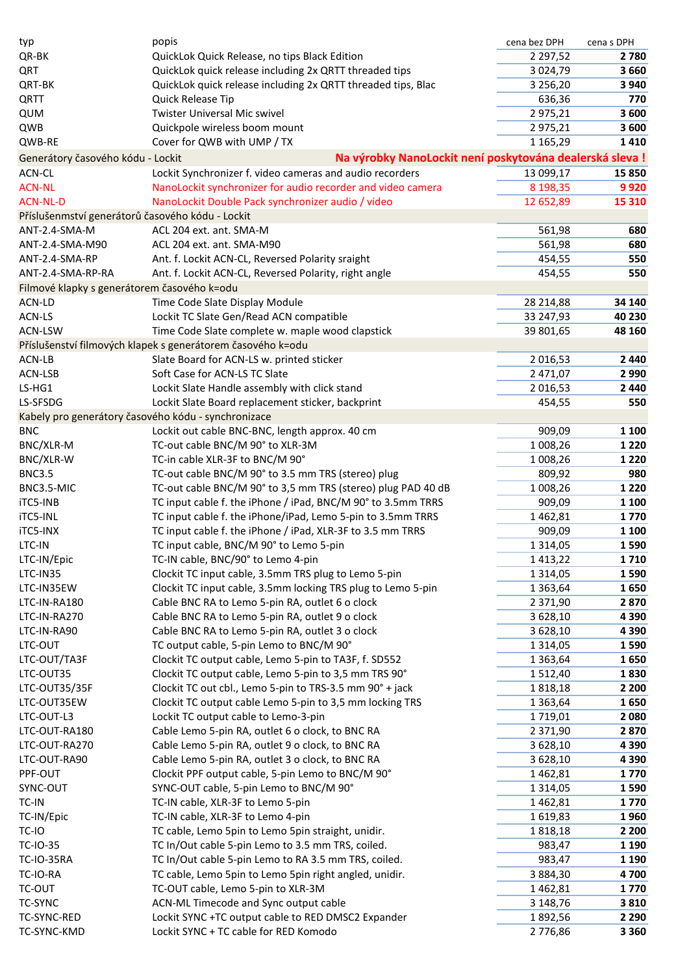| typ                                                 | popis                                                                                        | cena bez DPH       | cena s DPH |
|-----------------------------------------------------|----------------------------------------------------------------------------------------------|--------------------|------------|
| QR-BK                                               | QuickLok Quick Release, no tips Black Edition                                                | 2 2 9 7, 5 2       | 2780       |
| QRT                                                 | QuickLok quick release including 2x QRTT threaded tips                                       | 3 0 24, 79         | 3 6 6 0    |
| QRT-BK                                              | QuickLok quick release including 2x QRTT threaded tips, Blac                                 | 3 2 5 6 , 2 0      | 3 9 4 0    |
| QRTT                                                | Quick Release Tip                                                                            | 636,36             | 770        |
| QUM                                                 | <b>Twister Universal Mic swivel</b>                                                          | 2975,21            | 3 600      |
| QWB                                                 | Quickpole wireless boom mount                                                                | 2975,21            | 3 600      |
| QWB-RE                                              | Cover for QWB with UMP / TX                                                                  | 1 1 65,29          | 1410       |
| Generátory časového kódu - Lockit                   | Na výrobky NanoLockit není poskytována dealerská sleva!                                      |                    |            |
| ACN-CL                                              | Lockit Synchronizer f. video cameras and audio recorders                                     | 13 099,17          | 15 850     |
| <b>ACN-NL</b>                                       | NanoLockit synchronizer for audio recorder and video camera                                  | 8 198,35           | 9920       |
| <b>ACN-NL-D</b>                                     | NanoLockit Double Pack synchronizer audio / video                                            | 12 652,89          | 15 310     |
| Příslušenmství generátorů časového kódu - Lockit    |                                                                                              |                    |            |
| ANT-2.4-SMA-M                                       | ACL 204 ext. ant. SMA-M                                                                      | 561,98             | 680        |
| ANT-2.4-SMA-M90                                     | ACL 204 ext. ant. SMA-M90                                                                    | 561,98             | 680        |
| ANT-2.4-SMA-RP                                      | Ant. f. Lockit ACN-CL, Reversed Polarity sraight                                             | 454,55             | 550        |
| ANT-2.4-SMA-RP-RA                                   | Ant. f. Lockit ACN-CL, Reversed Polarity, right angle                                        | 454,55             | 550        |
| Filmové klapky s generátorem časového k=odu         |                                                                                              |                    |            |
| ACN-LD                                              | Time Code Slate Display Module                                                               | 28 214,88          | 34 140     |
| ACN-LS                                              | Lockit TC Slate Gen/Read ACN compatible                                                      | 33 247,93          | 40 230     |
| <b>ACN-LSW</b>                                      | Time Code Slate complete w. maple wood clapstick                                             | 39 801,65          | 48 160     |
|                                                     | Příslušenství filmových klapek s generátorem časového k=odu                                  |                    |            |
| ACN-LB                                              | Slate Board for ACN-LS w. printed sticker                                                    | 2 0 16,53          | 2 4 4 0    |
| ACN-LSB                                             | Soft Case for ACN-LS TC Slate                                                                | 2 471,07           | 2 9 9 0    |
| LS-HG1                                              | Lockit Slate Handle assembly with click stand                                                | 2016,53            | 2 4 4 0    |
| LS-SFSDG                                            | Lockit Slate Board replacement sticker, backprint                                            | 454,55             | 550        |
| Kabely pro generátory časového kódu - synchronizace |                                                                                              |                    |            |
| <b>BNC</b>                                          | Lockit out cable BNC-BNC, length approx. 40 cm                                               | 909,09             | 1 100      |
| BNC/XLR-M                                           | TC-out cable BNC/M 90° to XLR-3M                                                             | 1 008,26           | 1 2 2 0    |
| BNC/XLR-W                                           | TC-in cable XLR-3F to BNC/M 90°                                                              | 1 008,26           | 1 2 2 0    |
| <b>BNC3.5</b>                                       | TC-out cable BNC/M 90° to 3.5 mm TRS (stereo) plug                                           | 809,92             | 980        |
| BNC3.5-MIC                                          | TC-out cable BNC/M 90° to 3,5 mm TRS (stereo) plug PAD 40 dB                                 | 1 008,26           | 1 2 2 0    |
| iTC5-INB                                            | TC input cable f. the iPhone / iPad, BNC/M 90° to 3.5mm TRRS                                 | 909,09             | 1 100      |
| iTC5-INL                                            | TC input cable f. the iPhone/iPad, Lemo 5-pin to 3.5mm TRRS                                  | 1462,81            | 1770       |
| iTC5-INX                                            | TC input cable f. the iPhone / iPad, XLR-3F to 3.5 mm TRRS                                   | 909,09             | 1 100      |
| LTC-IN                                              | TC input cable, BNC/M 90° to Lemo 5-pin                                                      | 1 3 1 4 , 0 5      | 1590       |
| LTC-IN/Epic                                         | TC-IN cable, BNC/90° to Lemo 4-pin                                                           | 1413,22            | 1710       |
| LTC-IN35                                            | Clockit TC input cable, 3.5mm TRS plug to Lemo 5-pin                                         | 1 3 1 4 , 0 5      | 1590       |
| LTC-IN35EW                                          | Clockit TC input cable, 3.5mm locking TRS plug to Lemo 5-pin                                 | 1 3 6 3 , 6 4      | 1650       |
| LTC-IN-RA180                                        | Cable BNC RA to Lemo 5-pin RA, outlet 6 o clock                                              | 2 371,90           | 2870       |
| LTC-IN-RA270                                        | Cable BNC RA to Lemo 5-pin RA, outlet 9 o clock                                              | 3 628,10           | 4 3 9 0    |
| LTC-IN-RA90                                         | Cable BNC RA to Lemo 5-pin RA, outlet 3 o clock                                              | 3 628,10           | 4 3 9 0    |
| LTC-OUT                                             | TC output cable, 5-pin Lemo to BNC/M 90°                                                     | 1 3 1 4 , 0 5      | 1590       |
| LTC-OUT/TA3F                                        | Clockit TC output cable, Lemo 5-pin to TA3F, f. SD552                                        | 1 3 6 3 , 6 4      | 1650       |
| LTC-OUT35                                           | Clockit TC output cable, Lemo 5-pin to 3,5 mm TRS 90°                                        | 1512,40            | 1830       |
| LTC-OUT35/35F                                       | Clockit TC out cbl., Lemo 5-pin to TRS-3.5 mm 90° + jack                                     | 1818,18            | 2 2 0 0    |
| LTC-OUT35EW                                         | Clockit TC output cable Lemo 5-pin to 3,5 mm locking TRS                                     | 1 3 6 3 , 6 4      | 1650       |
| LTC-OUT-L3                                          | Lockit TC output cable to Lemo-3-pin                                                         | 1719,01            | 2 0 8 0    |
| LTC-OUT-RA180                                       | Cable Lemo 5-pin RA, outlet 6 o clock, to BNC RA                                             | 2 371,90           | 2870       |
| LTC-OUT-RA270                                       | Cable Lemo 5-pin RA, outlet 9 o clock, to BNC RA                                             | 3 628,10           | 4 3 9 0    |
| LTC-OUT-RA90                                        | Cable Lemo 5-pin RA, outlet 3 o clock, to BNC RA                                             | 3 628,10           | 4 3 9 0    |
| PPF-OUT                                             | Clockit PPF output cable, 5-pin Lemo to BNC/M 90°                                            | 1462,81            | 1770       |
| SYNC-OUT                                            | SYNC-OUT cable, 5-pin Lemo to BNC/M 90°                                                      | 1 3 1 4 , 0 5      | 1590       |
| TC-IN                                               | TC-IN cable, XLR-3F to Lemo 5-pin                                                            | 1462,81            | 1770       |
| TC-IN/Epic                                          | TC-IN cable, XLR-3F to Lemo 4-pin                                                            | 1619,83            | 1960       |
| TC-IO                                               | TC cable, Lemo 5pin to Lemo 5pin straight, unidir.                                           | 1818,18            | 2 2 0 0    |
| <b>TC-IO-35</b>                                     | TC In/Out cable 5-pin Lemo to 3.5 mm TRS, coiled.                                            | 983,47             | 1 1 9 0    |
| <b>TC-IO-35RA</b><br>TC-IO-RA                       | TC In/Out cable 5-pin Lemo to RA 3.5 mm TRS, coiled.                                         | 983,47             | 1 1 9 0    |
| <b>TC-OUT</b>                                       | TC cable, Lemo 5pin to Lemo 5pin right angled, unidir.<br>TC-OUT cable, Lemo 5-pin to XLR-3M | 3884,30<br>1462,81 | 4700       |
| <b>TC-SYNC</b>                                      |                                                                                              |                    | 1770       |
| TC-SYNC-RED                                         | ACN-ML Timecode and Sync output cable                                                        | 3 148,76           | 3810       |
| TC-SYNC-KMD                                         | Lockit SYNC +TC output cable to RED DMSC2 Expander<br>Lockit SYNC + TC cable for RED Komodo  | 1892,56<br>2776,86 | 2 2 9 0    |
|                                                     |                                                                                              |                    | 3 3 6 0    |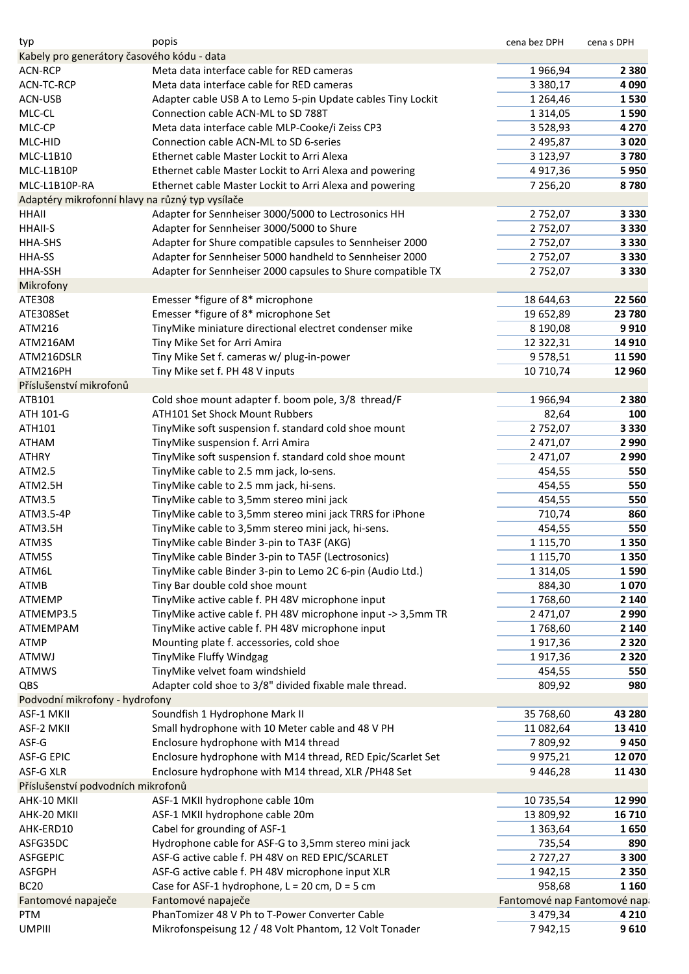| typ                                             | popis                                                                                | cena bez DPH                | cena s DPH |
|-------------------------------------------------|--------------------------------------------------------------------------------------|-----------------------------|------------|
| Kabely pro generátory časového kódu - data      |                                                                                      |                             |            |
| <b>ACN-RCP</b>                                  | Meta data interface cable for RED cameras                                            | 1966,94                     | 2 3 8 0    |
| ACN-TC-RCP                                      | Meta data interface cable for RED cameras                                            | 3 3 8 0, 1 7                | 4 0 9 0    |
| ACN-USB                                         | Adapter cable USB A to Lemo 5-pin Update cables Tiny Lockit                          | 1 2 64,46                   | 1530       |
| MLC-CL                                          | Connection cable ACN-ML to SD 788T                                                   | 1 3 1 4 , 0 5               | 1590       |
| MLC-CP                                          | Meta data interface cable MLP-Cooke/i Zeiss CP3                                      | 3 5 28, 93                  | 4 2 7 0    |
| MLC-HID                                         | Connection cable ACN-ML to SD 6-series                                               | 2 495,87                    | 3 0 2 0    |
| MLC-L1B10                                       | Ethernet cable Master Lockit to Arri Alexa                                           | 3 1 2 3 , 9 7               | 3780       |
| MLC-L1B10P                                      | Ethernet cable Master Lockit to Arri Alexa and powering                              | 4917,36                     | 5950       |
| MLC-L1B10P-RA                                   | Ethernet cable Master Lockit to Arri Alexa and powering                              | 7 256,20                    | 8780       |
| Adaptéry mikrofonní hlavy na různý typ vysílače |                                                                                      |                             |            |
| HHAII                                           | Adapter for Sennheiser 3000/5000 to Lectrosonics HH                                  | 2752,07                     | 3 3 3 0    |
| <b>HHAII-S</b>                                  | Adapter for Sennheiser 3000/5000 to Shure                                            | 2752,07                     | 3 3 3 0    |
| HHA-SHS                                         | Adapter for Shure compatible capsules to Sennheiser 2000                             | 2752,07                     | 3 3 3 0    |
| HHA-SS                                          | Adapter for Sennheiser 5000 handheld to Sennheiser 2000                              | 2752,07                     | 3 3 3 0    |
| HHA-SSH                                         | Adapter for Sennheiser 2000 capsules to Shure compatible TX                          | 2752,07                     | 3 3 3 0    |
| Mikrofony                                       |                                                                                      |                             |            |
| ATE308                                          | Emesser *figure of 8* microphone                                                     | 18 644,63                   | 22 560     |
| ATE308Set                                       | Emesser *figure of 8* microphone Set                                                 | 19 652,89                   | 23 780     |
| ATM216                                          | TinyMike miniature directional electret condenser mike                               | 8 190,08                    | 9910       |
| ATM216AM                                        | Tiny Mike Set for Arri Amira                                                         | 12 322,31                   | 14 9 10    |
| ATM216DSLR                                      | Tiny Mike Set f. cameras w/ plug-in-power                                            | 9578,51                     | 11 590     |
| ATM216PH                                        | Tiny Mike set f. PH 48 V inputs                                                      | 10 710,74                   | 12 960     |
| Příslušenství mikrofonů                         |                                                                                      |                             |            |
| ATB101                                          |                                                                                      |                             |            |
|                                                 | Cold shoe mount adapter f. boom pole, 3/8 thread/F<br>ATH101 Set Shock Mount Rubbers | 1966,94                     | 2 3 8 0    |
| ATH 101-G                                       |                                                                                      | 82,64                       | 100        |
| ATH101                                          | TinyMike soft suspension f. standard cold shoe mount                                 | 2752,07                     | 3 3 3 0    |
| ATHAM                                           | TinyMike suspension f. Arri Amira                                                    | 2 471,07                    | 2 9 9 0    |
| ATHRY                                           | TinyMike soft suspension f. standard cold shoe mount                                 | 2 471,07                    | 2 9 9 0    |
| ATM2.5                                          | TinyMike cable to 2.5 mm jack, lo-sens.                                              | 454,55                      | 550        |
| ATM2.5H                                         | TinyMike cable to 2.5 mm jack, hi-sens.                                              | 454,55                      | 550        |
| ATM3.5                                          | TinyMike cable to 3,5mm stereo mini jack                                             | 454,55                      | 550        |
| ATM3.5-4P                                       | TinyMike cable to 3,5mm stereo mini jack TRRS for iPhone                             | 710,74                      | 860        |
| ATM3.5H                                         | TinyMike cable to 3,5mm stereo mini jack, hi-sens.                                   | 454,55                      | 550        |
| ATM3S                                           | TinyMike cable Binder 3-pin to TA3F (AKG)                                            | 1 1 1 5 , 7 0               | 1 3 5 0    |
| ATM5S                                           | TinyMike cable Binder 3-pin to TA5F (Lectrosonics)                                   | 1 1 1 5 , 7 0               | 1 3 5 0    |
| ATM6L                                           | TinyMike cable Binder 3-pin to Lemo 2C 6-pin (Audio Ltd.)                            | 1 3 1 4 , 0 5               | 1590       |
| <b>ATMB</b>                                     | Tiny Bar double cold shoe mount                                                      | 884,30                      | 1070       |
| <b>ATMEMP</b>                                   | TinyMike active cable f. PH 48V microphone input                                     | 1768,60                     | 2 1 4 0    |
| ATMEMP3.5                                       | TinyMike active cable f. PH 48V microphone input -> 3,5mm TR                         | 2 471,07                    | 2 9 9 0    |
| <b>ATMEMPAM</b>                                 | TinyMike active cable f. PH 48V microphone input                                     | 1768,60                     | 2 1 4 0    |
| <b>ATMP</b>                                     | Mounting plate f. accessories, cold shoe                                             | 1917,36                     | 2 3 2 0    |
| ATMWJ                                           | TinyMike Fluffy Windgag                                                              | 1917,36                     | 2 3 2 0    |
| <b>ATMWS</b>                                    | TinyMike velvet foam windshield                                                      | 454,55                      | 550        |
| QBS                                             | Adapter cold shoe to 3/8" divided fixable male thread.                               | 809,92                      | 980        |
| Podvodní mikrofony - hydrofony                  |                                                                                      |                             |            |
| ASF-1 MKII                                      | Soundfish 1 Hydrophone Mark II                                                       | 35 768,60                   | 43 280     |
| ASF-2 MKII                                      | Small hydrophone with 10 Meter cable and 48 V PH                                     | 11 082,64                   | 13 4 10    |
| ASF-G                                           | Enclosure hydrophone with M14 thread                                                 | 7809,92                     | 9 4 5 0    |
| <b>ASF-G EPIC</b>                               | Enclosure hydrophone with M14 thread, RED Epic/Scarlet Set                           | 9 9 7 5, 2 1                | 12 070     |
| ASF-G XLR                                       | Enclosure hydrophone with M14 thread, XLR / PH48 Set                                 | 9446,28                     | 11 430     |
| Příslušenství podvodních mikrofonů              |                                                                                      |                             |            |
| AHK-10 MKII                                     | ASF-1 MKII hydrophone cable 10m                                                      | 10 735,54                   | 12 990     |
| AHK-20 MKII                                     | ASF-1 MKII hydrophone cable 20m                                                      | 13 809,92                   | 16 710     |
| AHK-ERD10                                       | Cabel for grounding of ASF-1                                                         | 1 3 6 3 , 6 4               | 1650       |
|                                                 |                                                                                      |                             |            |
| ASFG35DC                                        | Hydrophone cable for ASF-G to 3,5mm stereo mini jack                                 | 735,54                      | 890        |
| <b>ASFGEPIC</b>                                 | ASF-G active cable f. PH 48V on RED EPIC/SCARLET                                     | 2727,27                     | 3 3 0 0    |
| <b>ASFGPH</b>                                   | ASF-G active cable f. PH 48V microphone input XLR                                    | 1942,15                     | 2 3 5 0    |
| <b>BC20</b>                                     | Case for ASF-1 hydrophone, $L = 20$ cm, $D = 5$ cm                                   | 958,68                      | 1 1 6 0    |
| Fantomové napaječe                              | Fantomové napaječe                                                                   | Fantomové nap Fantomové nap |            |
| PTM                                             | PhanTomizer 48 V Ph to T-Power Converter Cable                                       | 3 479,34                    | 4 2 1 0    |
| <b>UMPIII</b>                                   | Mikrofonspeisung 12 / 48 Volt Phantom, 12 Volt Tonader                               | 7942,15                     | 9610       |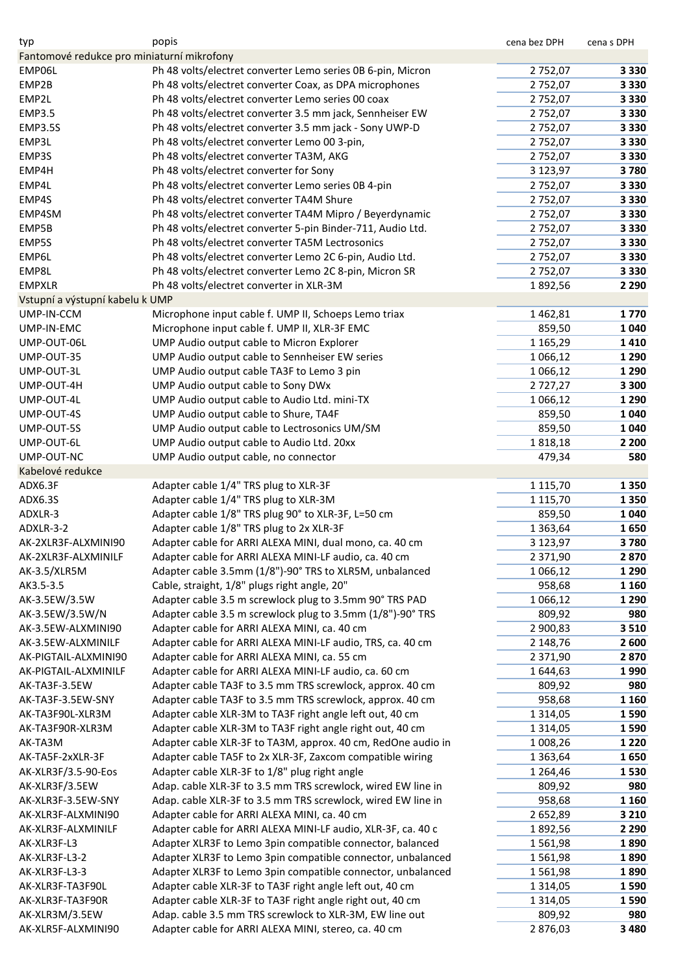| typ                                        | popis                                                        | cena bez DPH  | cena s DPH |
|--------------------------------------------|--------------------------------------------------------------|---------------|------------|
| Fantomové redukce pro miniaturní mikrofony |                                                              |               |            |
| EMP06L                                     | Ph 48 volts/electret converter Lemo series 0B 6-pin, Micron  | 2752,07       | 3 3 3 0    |
| EMP2B                                      | Ph 48 volts/electret converter Coax, as DPA microphones      | 2752,07       | 3 3 3 0    |
| EMP2L                                      | Ph 48 volts/electret converter Lemo series 00 coax           | 2752,07       | 3 3 3 0    |
| <b>EMP3.5</b>                              | Ph 48 volts/electret converter 3.5 mm jack, Sennheiser EW    | 2752,07       | 3 3 3 0    |
| <b>EMP3.5S</b>                             | Ph 48 volts/electret converter 3.5 mm jack - Sony UWP-D      | 2752,07       | 3 3 3 0    |
| EMP3L                                      | Ph 48 volts/electret converter Lemo 00 3-pin,                | 2752,07       | 3 3 3 0    |
| EMP3S                                      | Ph 48 volts/electret converter TA3M, AKG                     | 2752,07       | 3 3 3 0    |
| EMP4H                                      | Ph 48 volts/electret converter for Sony                      | 3 123,97      | 3780       |
| EMP4L                                      | Ph 48 volts/electret converter Lemo series 0B 4-pin          | 2752,07       | 3 3 3 0    |
| EMP4S                                      | Ph 48 volts/electret converter TA4M Shure                    | 2752,07       | 3 3 3 0    |
| EMP4SM                                     | Ph 48 volts/electret converter TA4M Mipro / Beyerdynamic     | 2752,07       | 3 3 3 0    |
| EMP5B                                      | Ph 48 volts/electret converter 5-pin Binder-711, Audio Ltd.  | 2752,07       | 3 3 3 0    |
| EMP5S                                      | Ph 48 volts/electret converter TA5M Lectrosonics             | 2752,07       | 3 3 3 0    |
|                                            |                                                              |               |            |
| EMP6L                                      | Ph 48 volts/electret converter Lemo 2C 6-pin, Audio Ltd.     | 2752,07       | 3 3 3 0    |
| EMP8L                                      | Ph 48 volts/electret converter Lemo 2C 8-pin, Micron SR      | 2752,07       | 3 3 3 0    |
| <b>EMPXLR</b>                              | Ph 48 volts/electret converter in XLR-3M                     | 1892,56       | 2 2 9 0    |
| Vstupní a výstupní kabelu k UMP            |                                                              |               |            |
| UMP-IN-CCM                                 | Microphone input cable f. UMP II, Schoeps Lemo triax         | 1462,81       | 1770       |
| UMP-IN-EMC                                 | Microphone input cable f. UMP II, XLR-3F EMC                 | 859,50        | 1 0 4 0    |
| UMP-OUT-06L                                | UMP Audio output cable to Micron Explorer                    | 1 1 65, 29    | 1410       |
| UMP-OUT-35                                 | UMP Audio output cable to Sennheiser EW series               | 1 0 6 6, 12   | 1 2 9 0    |
| UMP-OUT-3L                                 | UMP Audio output cable TA3F to Lemo 3 pin                    | 1 0 6 6, 12   | 1 2 9 0    |
| UMP-OUT-4H                                 | UMP Audio output cable to Sony DWx                           | 2727,27       | 3 3 0 0    |
| UMP-OUT-4L                                 | UMP Audio output cable to Audio Ltd. mini-TX                 | 1 0 6 6, 12   | 1 2 9 0    |
| UMP-OUT-4S                                 | UMP Audio output cable to Shure, TA4F                        | 859,50        | 1 0 4 0    |
| UMP-OUT-5S                                 | UMP Audio output cable to Lectrosonics UM/SM                 | 859,50        | 1 0 4 0    |
| UMP-OUT-6L                                 | UMP Audio output cable to Audio Ltd. 20xx                    | 1818,18       | 2 2 0 0    |
| UMP-OUT-NC                                 | UMP Audio output cable, no connector                         | 479,34        | 580        |
| Kabelové redukce                           |                                                              |               |            |
| ADX6.3F                                    | Adapter cable 1/4" TRS plug to XLR-3F                        | 1 1 1 5 , 7 0 | 1 3 5 0    |
| ADX6.3S                                    | Adapter cable 1/4" TRS plug to XLR-3M                        | 1 1 1 5 , 7 0 | 1 3 5 0    |
| ADXLR-3                                    | Adapter cable 1/8" TRS plug 90° to XLR-3F, L=50 cm           | 859,50        | 1 0 4 0    |
| ADXLR-3-2                                  | Adapter cable 1/8" TRS plug to 2x XLR-3F                     | 1 3 6 3 , 6 4 | 1650       |
| AK-2XLR3F-ALXMINI90                        | Adapter cable for ARRI ALEXA MINI, dual mono, ca. 40 cm      | 3 123,97      | 3780       |
| AK-2XLR3F-ALXMINILF                        | Adapter cable for ARRI ALEXA MINI-LF audio, ca. 40 cm        | 2 3 7 1, 9 0  | 2870       |
| AK-3.5/XLR5M                               | Adapter cable 3.5mm (1/8")-90° TRS to XLR5M, unbalanced      | 1 0 6 6, 12   | 1 2 9 0    |
| AK3.5-3.5                                  | Cable, straight, 1/8" plugs right angle, 20"                 | 958,68        | 1 1 6 0    |
|                                            | Adapter cable 3.5 m screwlock plug to 3.5mm 90° TRS PAD      | 1 0 6 6, 12   |            |
| AK-3.5EW/3.5W                              |                                                              |               | 1 2 9 0    |
| AK-3.5EW/3.5W/N                            | Adapter cable 3.5 m screwlock plug to 3.5mm (1/8")-90° TRS   | 809,92        | 980        |
| AK-3.5EW-ALXMINI90                         | Adapter cable for ARRI ALEXA MINI, ca. 40 cm                 | 2 900,83      | 3 5 1 0    |
| AK-3.5EW-ALXMINILF                         | Adapter cable for ARRI ALEXA MINI-LF audio, TRS, ca. 40 cm   | 2 148,76      | 2 600      |
| AK-PIGTAIL-ALXMINI90                       | Adapter cable for ARRI ALEXA MINI, ca. 55 cm                 | 2 371,90      | 2870       |
| AK-PIGTAIL-ALXMINILF                       | Adapter cable for ARRI ALEXA MINI-LF audio, ca. 60 cm        | 1644,63       | 1990       |
| AK-TA3F-3.5EW                              | Adapter cable TA3F to 3.5 mm TRS screwlock, approx. 40 cm    | 809,92        | 980        |
| AK-TA3F-3.5EW-SNY                          | Adapter cable TA3F to 3.5 mm TRS screwlock, approx. 40 cm    | 958,68        | 1 1 6 0    |
| AK-TA3F90L-XLR3M                           | Adapter cable XLR-3M to TA3F right angle left out, 40 cm     | 1 3 1 4 , 0 5 | 1590       |
| AK-TA3F90R-XLR3M                           | Adapter cable XLR-3M to TA3F right angle right out, 40 cm    | 1 3 1 4 , 0 5 | 1590       |
| AK-TA3M                                    | Adapter cable XLR-3F to TA3M, approx. 40 cm, RedOne audio in | 1 008,26      | 1 2 2 0    |
| AK-TA5F-2xXLR-3F                           | Adapter cable TA5F to 2x XLR-3F, Zaxcom compatible wiring    | 1 3 6 3 , 6 4 | 1650       |
| AK-XLR3F/3.5-90-Eos                        | Adapter cable XLR-3F to 1/8" plug right angle                | 1 2 64,46     | 1530       |
| AK-XLR3F/3.5EW                             | Adap. cable XLR-3F to 3.5 mm TRS screwlock, wired EW line in | 809,92        | 980        |
| AK-XLR3F-3.5EW-SNY                         | Adap. cable XLR-3F to 3.5 mm TRS screwlock, wired EW line in | 958,68        | 1 1 6 0    |
| AK-XLR3F-ALXMINI90                         | Adapter cable for ARRI ALEXA MINI, ca. 40 cm                 | 2 652,89      | 3 2 1 0    |
| AK-XLR3F-ALXMINILF                         | Adapter cable for ARRI ALEXA MINI-LF audio, XLR-3F, ca. 40 c | 1892,56       | 2 2 9 0    |
| AK-XLR3F-L3                                | Adapter XLR3F to Lemo 3pin compatible connector, balanced    | 1561,98       | 1890       |
| AK-XLR3F-L3-2                              | Adapter XLR3F to Lemo 3pin compatible connector, unbalanced  | 1561,98       | 1890       |
| AK-XLR3F-L3-3                              | Adapter XLR3F to Lemo 3pin compatible connector, unbalanced  | 1561,98       | 1890       |
| AK-XLR3F-TA3F90L                           | Adapter cable XLR-3F to TA3F right angle left out, 40 cm     | 1 3 1 4 , 0 5 | 1590       |
| AK-XLR3F-TA3F90R                           | Adapter cable XLR-3F to TA3F right angle right out, 40 cm    | 1 3 1 4 , 0 5 | 1590       |
| AK-XLR3M/3.5EW                             | Adap. cable 3.5 mm TRS screwlock to XLR-3M, EW line out      | 809,92        | 980        |
| AK-XLR5F-ALXMINI90                         | Adapter cable for ARRI ALEXA MINI, stereo, ca. 40 cm         | 2876,03       | 3 4 8 0    |
|                                            |                                                              |               |            |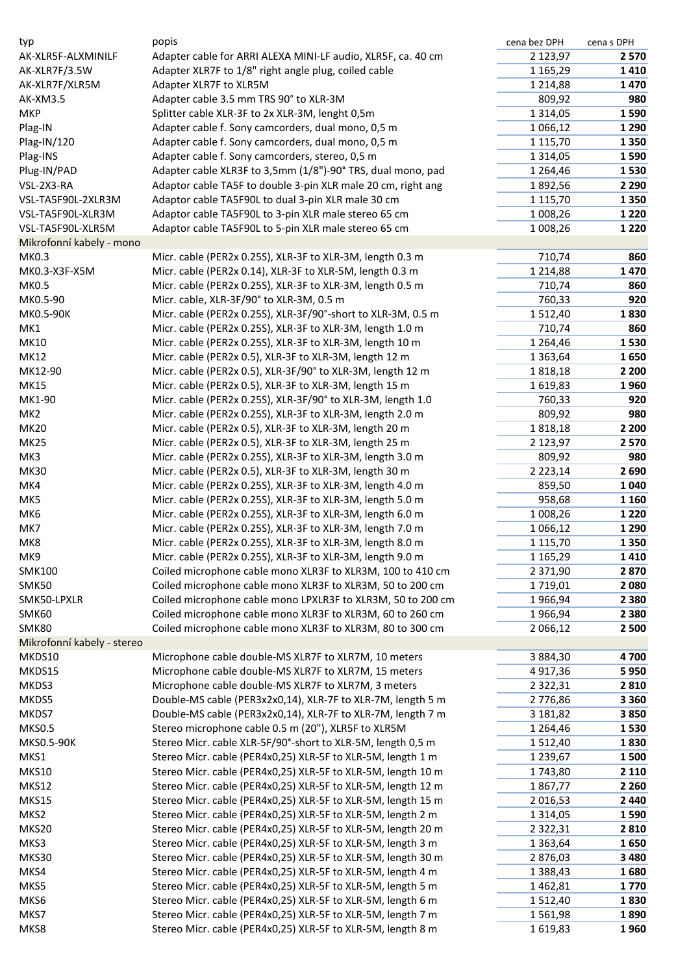| typ                        | popis                                                        | cena bez DPH  | cena s DPH |
|----------------------------|--------------------------------------------------------------|---------------|------------|
| AK-XLR5F-ALXMINILF         | Adapter cable for ARRI ALEXA MINI-LF audio, XLR5F, ca. 40 cm | 2 123,97      | 2 5 7 0    |
| AK-XLR7F/3.5W              | Adapter XLR7F to 1/8" right angle plug, coiled cable         | 1 1 65, 29    | 1410       |
| AK-XLR7F/XLR5M             | Adapter XLR7F to XLR5M                                       | 1 2 1 4,88    | 1470       |
| <b>AK-XM3.5</b>            | Adapter cable 3.5 mm TRS 90° to XLR-3M                       | 809,92        | 980        |
| <b>MKP</b>                 | Splitter cable XLR-3F to 2x XLR-3M, lenght 0,5m              | 1 3 1 4 , 0 5 | 1590       |
| Plag-IN                    | Adapter cable f. Sony camcorders, dual mono, 0,5 m           | 1 0 6 6, 12   | 1 2 9 0    |
| Plag-IN/120                | Adapter cable f. Sony camcorders, dual mono, 0,5 m           | 1 1 1 5 , 7 0 | 1350       |
| Plag-INS                   | Adapter cable f. Sony camcorders, stereo, 0,5 m              | 1 3 1 4 , 0 5 | 1590       |
| Plug-IN/PAD                | Adapter cable XLR3F to 3,5mm (1/8")-90° TRS, dual mono, pad  | 1 2 64,46     | 1530       |
| VSL-2X3-RA                 | Adaptor cable TA5F to double 3-pin XLR male 20 cm, right ang | 1892,56       | 2 2 9 0    |
| VSL-TA5F90L-2XLR3M         | Adaptor cable TA5F90L to dual 3-pin XLR male 30 cm           | 1 1 1 5 , 7 0 | 1350       |
| VSL-TA5F90L-XLR3M          | Adaptor cable TA5F90L to 3-pin XLR male stereo 65 cm         | 1 008,26      | 1 2 2 0    |
| VSL-TA5F90L-XLR5M          | Adaptor cable TA5F90L to 5-pin XLR male stereo 65 cm         | 1 008,26      | 1 2 2 0    |
| Mikrofonní kabely - mono   |                                                              |               |            |
| MK0.3                      | Micr. cable (PER2x 0.25S), XLR-3F to XLR-3M, length 0.3 m    | 710,74        | 860        |
| MK0.3-X3F-X5M              | Micr. cable (PER2x 0.14), XLR-3F to XLR-5M, length 0.3 m     | 1 2 1 4,88    | 1470       |
| <b>MK0.5</b>               | Micr. cable (PER2x 0.25S), XLR-3F to XLR-3M, length 0.5 m    | 710,74        | 860        |
| MK0.5-90                   | Micr. cable, XLR-3F/90° to XLR-3M, 0.5 m                     | 760,33        | 920        |
| MK0.5-90K                  | Micr. cable (PER2x 0.25S), XLR-3F/90°-short to XLR-3M, 0.5 m | 1512,40       | 1830       |
| MK1                        | Micr. cable (PER2x 0.25S), XLR-3F to XLR-3M, length 1.0 m    | 710,74        | 860        |
| <b>MK10</b>                | Micr. cable (PER2x 0.25S), XLR-3F to XLR-3M, length 10 m     | 1 2 64,46     | 1530       |
| <b>MK12</b>                | Micr. cable (PER2x 0.5), XLR-3F to XLR-3M, length 12 m       | 1 3 6 3 , 6 4 | 1650       |
| MK12-90                    | Micr. cable (PER2x 0.5), XLR-3F/90° to XLR-3M, length 12 m   | 1818,18       | 2 2 0 0    |
| <b>MK15</b>                | Micr. cable (PER2x 0.5), XLR-3F to XLR-3M, length 15 m       | 1619,83       | 1960       |
| MK1-90                     | Micr. cable (PER2x 0.25S), XLR-3F/90° to XLR-3M, length 1.0  | 760,33        | 920        |
| MK <sub>2</sub>            | Micr. cable (PER2x 0.25S), XLR-3F to XLR-3M, length 2.0 m    | 809,92        | 980        |
| <b>MK20</b>                | Micr. cable (PER2x 0.5), XLR-3F to XLR-3M, length 20 m       | 1818,18       | 2 2 0 0    |
| <b>MK25</b>                | Micr. cable (PER2x 0.5), XLR-3F to XLR-3M, length 25 m       | 2 123,97      | 2 5 7 0    |
| MK3                        | Micr. cable (PER2x 0.25S), XLR-3F to XLR-3M, length 3.0 m    | 809,92        | 980        |
| <b>MK30</b>                | Micr. cable (PER2x 0.5), XLR-3F to XLR-3M, length 30 m       | 2 2 2 3 , 1 4 | 2690       |
| MK4                        | Micr. cable (PER2x 0.25S), XLR-3F to XLR-3M, length 4.0 m    | 859,50        | 1 0 4 0    |
| MK5                        | Micr. cable (PER2x 0.25S), XLR-3F to XLR-3M, length 5.0 m    | 958,68        | 1 1 6 0    |
| MK6                        | Micr. cable (PER2x 0.25S), XLR-3F to XLR-3M, length 6.0 m    | 1 008,26      | 1 2 2 0    |
| MK7                        | Micr. cable (PER2x 0.25S), XLR-3F to XLR-3M, length 7.0 m    | 1 0 6 6, 12   | 1 2 9 0    |
| MK8                        | Micr. cable (PER2x 0.25S), XLR-3F to XLR-3M, length 8.0 m    | 1 1 1 5 , 7 0 | 1350       |
| MK9                        | Micr. cable (PER2x 0.25S), XLR-3F to XLR-3M, length 9.0 m    | 1 1 65, 29    | 1410       |
| <b>SMK100</b>              | Coiled microphone cable mono XLR3F to XLR3M, 100 to 410 cm   | 2 371,90      | 2870       |
| SMK50                      | Coiled microphone cable mono XLR3F to XLR3M, 50 to 200 cm    | 1719,01       | 2 0 8 0    |
| SMK50-LPXLR                | Coiled microphone cable mono LPXLR3F to XLR3M, 50 to 200 cm  | 1966,94       | 2 3 8 0    |
| SMK60                      | Coiled microphone cable mono XLR3F to XLR3M, 60 to 260 cm    | 1966,94       | 2 3 8 0    |
| SMK80                      | Coiled microphone cable mono XLR3F to XLR3M, 80 to 300 cm    | 2 066,12      | 2 500      |
| Mikrofonní kabely - stereo |                                                              |               |            |
| MKDS10                     | Microphone cable double-MS XLR7F to XLR7M, 10 meters         | 3 8 8 4 , 3 0 | 4700       |
| MKDS15                     | Microphone cable double-MS XLR7F to XLR7M, 15 meters         | 4917,36       | 5950       |
| MKDS3                      | Microphone cable double-MS XLR7F to XLR7M, 3 meters          | 2 3 2 2 , 3 1 | 2810       |
| MKDS5                      | Double-MS cable (PER3x2x0,14), XLR-7F to XLR-7M, length 5 m  | 2 776,86      | 3 3 6 0    |
| MKDS7                      | Double-MS cable (PER3x2x0,14), XLR-7F to XLR-7M, length 7 m  | 3 181,82      | 3850       |
| <b>MKS0.5</b>              | Stereo microphone cable 0.5 m (20"), XLR5F to XLR5M          | 1 2 64,46     | 1530       |
| MKS0.5-90K                 | Stereo Micr. cable XLR-5F/90°-short to XLR-5M, length 0,5 m  | 1512,40       | 1830       |
| MKS1                       | Stereo Micr. cable (PER4x0,25) XLR-5F to XLR-5M, length 1 m  | 1 2 3 9, 6 7  | 1500       |
| <b>MKS10</b>               | Stereo Micr. cable (PER4x0,25) XLR-5F to XLR-5M, length 10 m | 1743,80       | 2 1 1 0    |
| <b>MKS12</b>               | Stereo Micr. cable (PER4x0,25) XLR-5F to XLR-5M, length 12 m | 1867,77       | 2 2 6 0    |
| MKS15                      | Stereo Micr. cable (PER4x0,25) XLR-5F to XLR-5M, length 15 m | 2 0 16,53     | 2 4 4 0    |
| MKS2                       | Stereo Micr. cable (PER4x0,25) XLR-5F to XLR-5M, length 2 m  | 1 3 1 4 , 0 5 | 1590       |
| MKS20                      | Stereo Micr. cable (PER4x0,25) XLR-5F to XLR-5M, length 20 m | 2 3 2 2 , 3 1 | 2810       |
| MKS3                       | Stereo Micr. cable (PER4x0,25) XLR-5F to XLR-5M, length 3 m  | 1 3 6 3 , 6 4 | 1650       |
| MKS30                      | Stereo Micr. cable (PER4x0,25) XLR-5F to XLR-5M, length 30 m | 2876,03       | 3 4 8 0    |
| MKS4                       | Stereo Micr. cable (PER4x0,25) XLR-5F to XLR-5M, length 4 m  | 1 3 8 8, 4 3  | 1680       |
| MKS5                       | Stereo Micr. cable (PER4x0,25) XLR-5F to XLR-5M, length 5 m  | 1462,81       | 1770       |
| MKS6                       | Stereo Micr. cable (PER4x0,25) XLR-5F to XLR-5M, length 6 m  | 1512,40       | 1830       |
| MKS7                       | Stereo Micr. cable (PER4x0,25) XLR-5F to XLR-5M, length 7 m  | 1561,98       | 1890       |
| MKS8                       | Stereo Micr. cable (PER4x0,25) XLR-5F to XLR-5M, length 8 m  | 1619,83       | 1960       |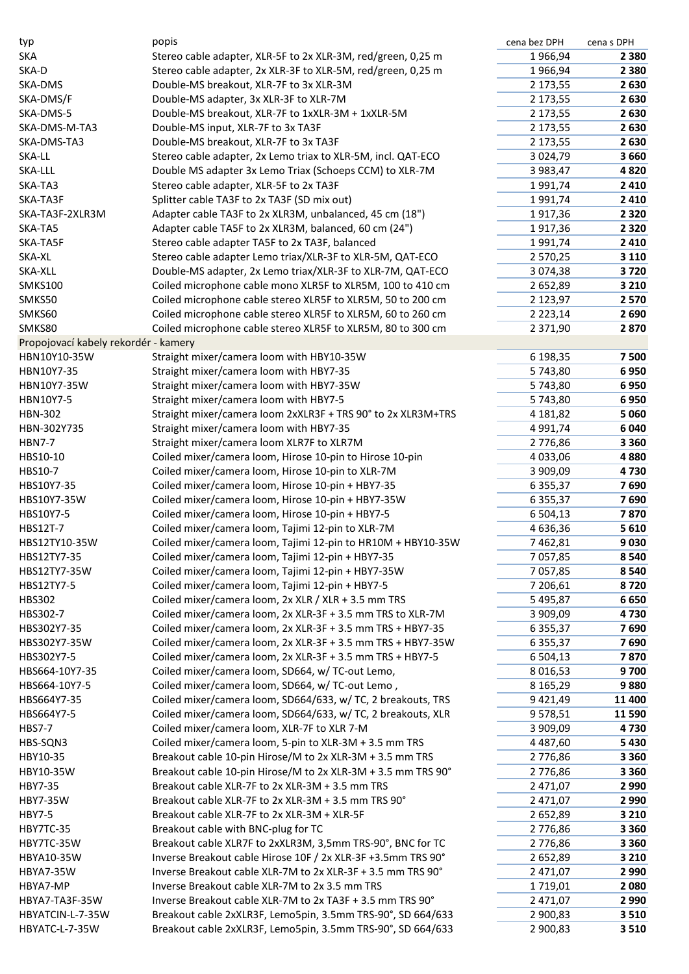| typ                                  | popis                                                        | cena bez DPH  | cena s DPH |
|--------------------------------------|--------------------------------------------------------------|---------------|------------|
| <b>SKA</b>                           | Stereo cable adapter, XLR-5F to 2x XLR-3M, red/green, 0,25 m | 1966,94       | 2 3 8 0    |
| SKA-D                                | Stereo cable adapter, 2x XLR-3F to XLR-5M, red/green, 0,25 m | 1966,94       | 2 3 8 0    |
| SKA-DMS                              | Double-MS breakout, XLR-7F to 3x XLR-3M                      | 2 173,55      | 2630       |
| SKA-DMS/F                            | Double-MS adapter, 3x XLR-3F to XLR-7M                       | 2 173,55      | 2630       |
| SKA-DMS-5                            | Double-MS breakout, XLR-7F to 1xXLR-3M + 1xXLR-5M            | 2 173,55      | 2630       |
| SKA-DMS-M-TA3                        | Double-MS input, XLR-7F to 3x TA3F                           | 2 173,55      | 2630       |
| SKA-DMS-TA3                          | Double-MS breakout, XLR-7F to 3x TA3F                        | 2 173,55      | 2630       |
| SKA-LL                               | Stereo cable adapter, 2x Lemo triax to XLR-5M, incl. QAT-ECO | 3 0 24, 79    | 3 6 6 0    |
| SKA-LLL                              | Double MS adapter 3x Lemo Triax (Schoeps CCM) to XLR-7M      | 3 983,47      | 4820       |
| SKA-TA3                              | Stereo cable adapter, XLR-5F to 2x TA3F                      | 1991,74       | 2 4 1 0    |
| SKA-TA3F                             | Splitter cable TA3F to 2x TA3F (SD mix out)                  | 1991,74       | 2 4 1 0    |
| SKA-TA3F-2XLR3M                      | Adapter cable TA3F to 2x XLR3M, unbalanced, 45 cm (18")      | 1917,36       | 2 3 2 0    |
| SKA-TA5                              | Adapter cable TA5F to 2x XLR3M, balanced, 60 cm (24")        | 1917,36       | 2 3 2 0    |
| SKA-TA5F                             | Stereo cable adapter TA5F to 2x TA3F, balanced               | 1991,74       | 2 4 1 0    |
| SKA-XL                               | Stereo cable adapter Lemo triax/XLR-3F to XLR-5M, QAT-ECO    | 2 570,25      | 3 1 1 0    |
| SKA-XLL                              | Double-MS adapter, 2x Lemo triax/XLR-3F to XLR-7M, QAT-ECO   | 3 0 7 4 , 3 8 | 3720       |
| <b>SMKS100</b>                       | Coiled microphone cable mono XLR5F to XLR5M, 100 to 410 cm   | 2 652,89      | 3 2 1 0    |
| SMKS50                               | Coiled microphone cable stereo XLR5F to XLR5M, 50 to 200 cm  | 2 123,97      | 2 5 7 0    |
| SMKS60                               | Coiled microphone cable stereo XLR5F to XLR5M, 60 to 260 cm  | 2 2 2 3 , 1 4 | 2690       |
| SMKS80                               | Coiled microphone cable stereo XLR5F to XLR5M, 80 to 300 cm  | 2 3 7 1 , 9 0 | 2870       |
| Propojovací kabely rekordér - kamery |                                                              |               |            |
| HBN10Y10-35W                         | Straight mixer/camera loom with HBY10-35W                    | 6 198,35      | 7 500      |
| HBN10Y7-35                           | Straight mixer/camera loom with HBY7-35                      | 5743,80       | 6950       |
| HBN10Y7-35W                          | Straight mixer/camera loom with HBY7-35W                     | 5743,80       | 6950       |
| HBN10Y7-5                            | Straight mixer/camera loom with HBY7-5                       | 5743,80       | 6950       |
| <b>HBN-302</b>                       | Straight mixer/camera loom 2xXLR3F + TRS 90° to 2x XLR3M+TRS | 4 181,82      | 5 0 6 0    |
| HBN-302Y735                          | Straight mixer/camera loom with HBY7-35                      | 4 9 9 1 , 7 4 | 6 0 4 0    |
| <b>HBN7-7</b>                        | Straight mixer/camera loom XLR7F to XLR7M                    | 2776,86       | 3 3 6 0    |
| HBS10-10                             | Coiled mixer/camera loom, Hirose 10-pin to Hirose 10-pin     | 4 033,06      | 4880       |
| HBS10-7                              | Coiled mixer/camera loom, Hirose 10-pin to XLR-7M            | 3 909,09      | 4730       |
| HBS10Y7-35                           | Coiled mixer/camera loom, Hirose 10-pin + HBY7-35            | 6 3 5 5 , 3 7 | 7690       |
| HBS10Y7-35W                          | Coiled mixer/camera loom, Hirose 10-pin + HBY7-35W           | 6 3 5 5 , 3 7 | 7690       |
| HBS10Y7-5                            | Coiled mixer/camera loom, Hirose 10-pin + HBY7-5             | 6 504,13      | 7870       |
| HBS12T-7                             | Coiled mixer/camera loom, Tajimi 12-pin to XLR-7M            | 4 636,36      | 5 6 1 0    |
| HBS12TY10-35W                        | Coiled mixer/camera loom, Tajimi 12-pin to HR10M + HBY10-35W | 7 462,81      | 9030       |
| HBS12TY7-35                          | Coiled mixer/camera loom, Tajimi 12-pin + HBY7-35            | 7 057,85      | 8 5 4 0    |
| HBS12TY7-35W                         | Coiled mixer/camera loom, Tajimi 12-pin + HBY7-35W           | 7 0 5 7,85    | 8 5 4 0    |
| HBS12TY7-5                           | Coiled mixer/camera loom, Tajimi 12-pin + HBY7-5             | 7 206,61      | 8720       |
| HBS302                               | Coiled mixer/camera loom, 2x XLR / XLR + 3.5 mm TRS          | 5 495,87      | 6650       |
| HBS302-7                             | Coiled mixer/camera loom, 2x XLR-3F + 3.5 mm TRS to XLR-7M   | 3 909,09      | 4730       |
| HBS302Y7-35                          | Coiled mixer/camera loom, 2x XLR-3F + 3.5 mm TRS + HBY7-35   | 6 3 5 5 , 3 7 | 7690       |
| HBS302Y7-35W                         | Coiled mixer/camera loom, 2x XLR-3F + 3.5 mm TRS + HBY7-35W  | 6 3 5 5 , 3 7 | 7690       |
| HBS302Y7-5                           | Coiled mixer/camera loom, 2x XLR-3F + 3.5 mm TRS + HBY7-5    | 6 5 0 4 , 1 3 | 7870       |
| HBS664-10Y7-35                       | Coiled mixer/camera loom, SD664, w/ TC-out Lemo,             | 8 0 16,53     | 9700       |
| HBS664-10Y7-5                        | Coiled mixer/camera loom, SD664, w/ TC-out Lemo,             | 8 1 6 5 , 2 9 | 9880       |
| HBS664Y7-35                          | Coiled mixer/camera loom, SD664/633, w/ TC, 2 breakouts, TRS | 9 4 2 1 , 4 9 | 11 400     |
|                                      | Coiled mixer/camera loom, SD664/633, w/ TC, 2 breakouts, XLR |               |            |
| HBS664Y7-5<br><b>HBS7-7</b>          |                                                              | 9578,51       | 11 590     |
|                                      | Coiled mixer/camera loom, XLR-7F to XLR 7-M                  | 3 909,09      | 4730       |
| HBS-SQN3                             | Coiled mixer/camera loom, 5-pin to XLR-3M + 3.5 mm TRS       | 4 4 8 7,60    | 5 4 3 0    |
| HBY10-35                             | Breakout cable 10-pin Hirose/M to 2x XLR-3M + 3.5 mm TRS     | 2776,86       | 3 3 6 0    |
| HBY10-35W                            | Breakout cable 10-pin Hirose/M to 2x XLR-3M + 3.5 mm TRS 90° | 2776,86       | 3 3 6 0    |
| HBY7-35                              | Breakout cable XLR-7F to 2x XLR-3M + 3.5 mm TRS              | 2 471,07      | 2 9 9 0    |
| <b>HBY7-35W</b>                      | Breakout cable XLR-7F to 2x XLR-3M + 3.5 mm TRS 90°          | 2 471,07      | 2 9 9 0    |
| <b>HBY7-5</b>                        | Breakout cable XLR-7F to 2x XLR-3M + XLR-5F                  | 2 652,89      | 3 2 1 0    |
| HBY7TC-35                            | Breakout cable with BNC-plug for TC                          | 2776,86       | 3 3 6 0    |
| HBY7TC-35W                           | Breakout cable XLR7F to 2xXLR3M, 3,5mm TRS-90°, BNC for TC   | 2776,86       | 3 3 6 0    |
| HBYA10-35W                           | Inverse Breakout cable Hirose 10F / 2x XLR-3F +3.5mm TRS 90° | 2 652,89      | 3 2 1 0    |
| <b>HBYA7-35W</b>                     | Inverse Breakout cable XLR-7M to 2x XLR-3F + 3.5 mm TRS 90°  | 2 471,07      | 2 9 9 0    |
| HBYA7-MP                             | Inverse Breakout cable XLR-7M to 2x 3.5 mm TRS               | 1719,01       | 2 0 8 0    |
| HBYA7-TA3F-35W                       | Inverse Breakout cable XLR-7M to 2x TA3F + 3.5 mm TRS 90°    | 2 471,07      | 2 9 9 0    |
| HBYATCIN-L-7-35W                     | Breakout cable 2xXLR3F, Lemo5pin, 3.5mm TRS-90°, SD 664/633  | 2 900,83      | 3 5 1 0    |
| HBYATC-L-7-35W                       | Breakout cable 2xXLR3F, Lemo5pin, 3.5mm TRS-90°, SD 664/633  | 2 900,83      | 3 5 1 0    |